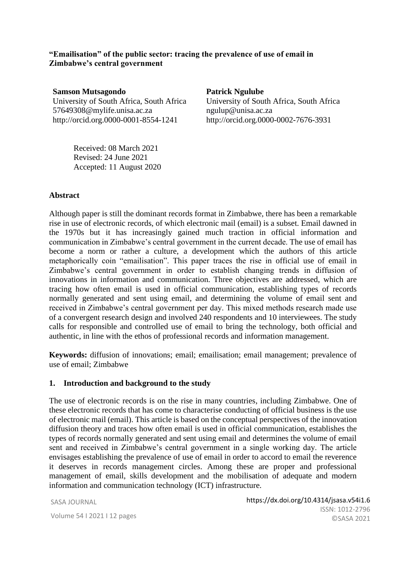**"Emailisation" of the public sector: tracing the prevalence of use of email in Zimbabwe's central government**

**Samson Mutsagondo** University of South Africa, South Africa 57649308@mylife.unisa.ac.za http://orcid.org.0000-0001-8554-1241

**Patrick Ngulube** University of South Africa, South Africa ngulup@unisa.ac.za http://orcid.org.0000-0002-7676-3931

Received: 08 March 2021 Revised: 24 June 2021 Accepted: 11 August 2020

#### **Abstract**

Although paper is still the dominant records format in Zimbabwe, there has been a remarkable rise in use of electronic records, of which electronic mail (email) is a subset. Email dawned in the 1970s but it has increasingly gained much traction in official information and communication in Zimbabwe's central government in the current decade. The use of email has become a norm or rather a culture, a development which the authors of this article metaphorically coin "emailisation". This paper traces the rise in official use of email in Zimbabwe's central government in order to establish changing trends in diffusion of innovations in information and communication. Three objectives are addressed, which are tracing how often email is used in official communication, establishing types of records normally generated and sent using email, and determining the volume of email sent and received in Zimbabwe's central government per day. This mixed methods research made use of a convergent research design and involved 240 respondents and 10 interviewees. The study calls for responsible and controlled use of email to bring the technology, both official and authentic, in line with the ethos of professional records and information management.

**Keywords:** diffusion of innovations; email; emailisation; email management; prevalence of use of email; Zimbabwe

#### **1. Introduction and background to the study**

The use of electronic records is on the rise in many countries, including Zimbabwe. One of these electronic records that has come to characterise conducting of official business is the use of electronic mail (email). This article is based on the conceptual perspectives of the innovation diffusion theory and traces how often email is used in official communication, establishes the types of records normally generated and sent using email and determines the volume of email sent and received in Zimbabwe's central government in a single working day. The article envisages establishing the prevalence of use of email in order to accord to email the reverence it deserves in records management circles. Among these are proper and professional management of email, skills development and the mobilisation of adequate and modern information and communication technology (ICT) infrastructure.

SASA JOURNAL

Volume 54 I 2021 I 12 pages and society of a result of  $\mathbb{C}$ https://dx.doi.org/10.4314/jsasa.v54i1.6 ISSN: 1012-2796 ©SASA 2021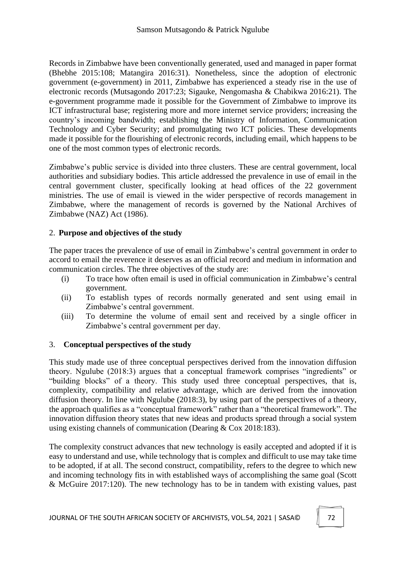Records in Zimbabwe have been conventionally generated, used and managed in paper format (Bhebhe 2015:108; Matangira 2016:31). Nonetheless, since the adoption of electronic government (e-government) in 2011, Zimbabwe has experienced a steady rise in the use of electronic records (Mutsagondo 2017:23; Sigauke, Nengomasha & Chabikwa 2016:21). The e-government programme made it possible for the Government of Zimbabwe to improve its ICT infrastructural base; registering more and more internet service providers; increasing the country's incoming bandwidth; establishing the Ministry of Information, Communication Technology and Cyber Security; and promulgating two ICT policies. These developments made it possible for the flourishing of electronic records, including email, which happens to be one of the most common types of electronic records.

Zimbabwe's public service is divided into three clusters. These are central government, local authorities and subsidiary bodies. This article addressed the prevalence in use of email in the central government cluster, specifically looking at head offices of the 22 government ministries. The use of email is viewed in the wider perspective of records management in Zimbabwe, where the management of records is governed by the National Archives of Zimbabwe (NAZ) Act (1986).

# 2. **Purpose and objectives of the study**

The paper traces the prevalence of use of email in Zimbabwe's central government in order to accord to email the reverence it deserves as an official record and medium in information and communication circles. The three objectives of the study are:

- (i) To trace how often email is used in official communication in Zimbabwe's central government.
- (ii) To establish types of records normally generated and sent using email in Zimbabwe's central government.
- (iii) To determine the volume of email sent and received by a single officer in Zimbabwe's central government per day.

# 3. **Conceptual perspectives of the study**

This study made use of three conceptual perspectives derived from the innovation diffusion theory. Ngulube (2018:3) argues that a conceptual framework comprises "ingredients" or "building blocks" of a theory. This study used three conceptual perspectives, that is, complexity, compatibility and relative advantage, which are derived from the innovation diffusion theory. In line with Ngulube (2018:3), by using part of the perspectives of a theory, the approach qualifies as a "conceptual framework" rather than a "theoretical framework". The innovation diffusion theory states that new ideas and products spread through a social system using existing channels of communication (Dearing & Cox 2018:183).

The complexity construct advances that new technology is easily accepted and adopted if it is easy to understand and use, while technology that is complex and difficult to use may take time to be adopted, if at all. The second construct, compatibility, refers to the degree to which new and incoming technology fits in with established ways of accomplishing the same goal (Scott & McGuire 2017:120). The new technology has to be in tandem with existing values, past

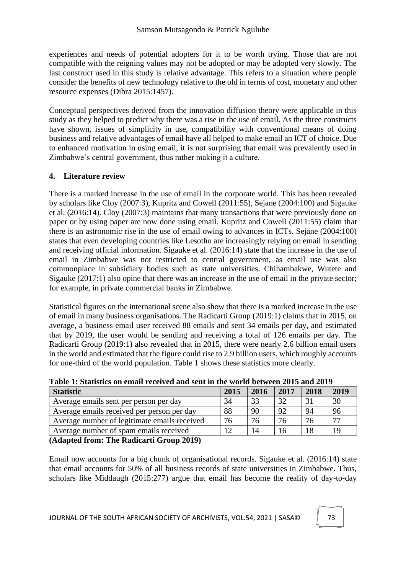experiences and needs of potential adopters for it to be worth trying. Those that are not compatible with the reigning values may not be adopted or may be adopted very slowly. The last construct used in this study is relative advantage. This refers to a situation where people consider the benefits of new technology relative to the old in terms of cost, monetary and other resource expenses (Dibra 2015:1457).

Conceptual perspectives derived from the innovation diffusion theory were applicable in this study as they helped to predict why there was a rise in the use of email. As the three constructs have shown, issues of simplicity in use, compatibility with conventional means of doing business and relative advantages of email have all helped to make email an ICT of choice. Due to enhanced motivation in using email, it is not surprising that email was prevalently used in Zimbabwe's central government, thus rather making it a culture.

## **4. Literature review**

There is a marked increase in the use of email in the corporate world. This has been revealed by scholars like Cloy (2007:3), Kupritz and Cowell (2011:55), Sejane (2004:100) and Sigauke et al. (2016:14). Cloy (2007:3) maintains that many transactions that were previously done on paper or by using paper are now done using email. Kupritz and Cowell (2011:55) claim that there is an astronomic rise in the use of email owing to advances in ICTs. Sejane (2004:100) states that even developing countries like Lesotho are increasingly relying on email in sending and receiving official information. Sigauke et al. (2016:14) state that the increase in the use of email in Zimbabwe was not restricted to central government, as email use was also commonplace in subsidiary bodies such as state universities. Chihambakwe, Wutete and Sigauke (2017:1) also opine that there was an increase in the use of email in the private sector; for example, in private commercial banks in Zimbabwe.

Statistical figures on the international scene also show that there is a marked increase in the use of email in many business organisations. The Radicarti Group (2019:1) claims that in 2015, on average, a business email user received 88 emails and sent 34 emails per day, and estimated that by 2019, the user would be sending and receiving a total of 126 emails per day. The Radicarti Group (2019:1) also revealed that in 2015, there were nearly 2.6 billion email users in the world and estimated that the figure could rise to 2.9 billion users, which roughly accounts for one-third of the world population. Table 1 shows these statistics more clearly.

| <b>Statistic</b>                             | 2015 | 2016 | 2017 | 2018 | 2019 |
|----------------------------------------------|------|------|------|------|------|
| Average emails sent per person per day       | 34   | 33   | 32   |      | 30   |
| Average emails received per person per day   | 88   | 90   | 92   | 94   | 96   |
| Average number of legitimate emails received | 76   | 76   | 76   | 76   | 77   |
| Average number of spam emails received       |      | 14   |      |      | 19   |

**Table 1: Statistics on email received and sent in the world between 2015 and 2019**

**(Adapted from: The Radicarti Group 2019)**

Email now accounts for a big chunk of organisational records. Sigauke et al. (2016:14) state that email accounts for 50% of all business records of state universities in Zimbabwe. Thus, scholars like Middaugh (2015:277) argue that email has become the reality of day-to-day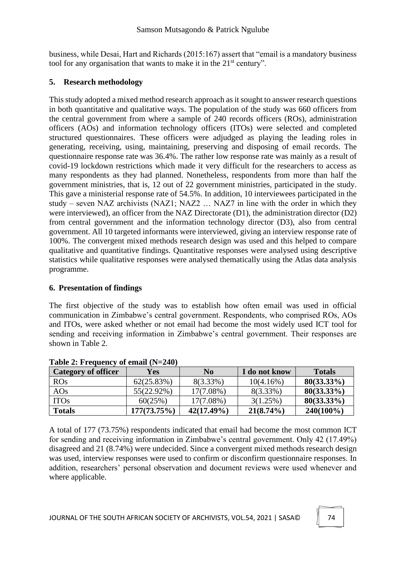business, while Desai, Hart and Richards (2015:167) assert that "email is a mandatory business tool for any organisation that wants to make it in the  $21<sup>st</sup>$  century".

## **5. Research methodology**

This study adopted a mixed method research approach as it sought to answer research questions in both quantitative and qualitative ways. The population of the study was 660 officers from the central government from where a sample of 240 records officers (ROs), administration officers (AOs) and information technology officers (ITOs) were selected and completed structured questionnaires. These officers were adjudged as playing the leading roles in generating, receiving, using, maintaining, preserving and disposing of email records. The questionnaire response rate was 36.4%. The rather low response rate was mainly as a result of covid-19 lockdown restrictions which made it very difficult for the researchers to access as many respondents as they had planned. Nonetheless, respondents from more than half the government ministries, that is, 12 out of 22 government ministries, participated in the study. This gave a ministerial response rate of 54.5%. In addition, 10 interviewees participated in the study – seven NAZ archivists (NAZ1; NAZ2 … NAZ7 in line with the order in which they were interviewed), an officer from the NAZ Directorate (D1), the administration director (D2) from central government and the information technology director (D3), also from central government. All 10 targeted informants were interviewed, giving an interview response rate of 100%. The convergent mixed methods research design was used and this helped to compare qualitative and quantitative findings. Quantitative responses were analysed using descriptive statistics while qualitative responses were analysed thematically using the Atlas data analysis programme.

### **6. Presentation of findings**

The first objective of the study was to establish how often email was used in official communication in Zimbabwe's central government. Respondents, who comprised ROs, AOs and ITOs, were asked whether or not email had become the most widely used ICT tool for sending and receiving information in Zimbabwe's central government. Their responses are shown in Table 2.

| <b>Category of officer</b> | Yes         | N <sub>0</sub> | I do not know | <b>Totals</b> |
|----------------------------|-------------|----------------|---------------|---------------|
| <b>ROs</b>                 | 62(25.83%)  | $8(3.33\%)$    | 10(4.16%)     | $80(33.33\%)$ |
| AOs                        | 55(22.92%)  | 17(7.08%)      | $8(3.33\%)$   | $80(33.33\%)$ |
| <b>ITOs</b>                | 60(25%)     | $17(7.08\%)$   | 3(1.25%)      | $80(33.33\%)$ |
| <b>Totals</b>              | 177(73.75%) | $42(17.49\%)$  | $21(8.74\%)$  | $240(100\%)$  |

**Table 2: Frequency of email (N=240)**

A total of 177 (73.75%) respondents indicated that email had become the most common ICT for sending and receiving information in Zimbabwe's central government. Only 42 (17.49%) disagreed and 21 (8.74%) were undecided. Since a convergent mixed methods research design was used, interview responses were used to confirm or disconfirm questionnaire responses. In addition, researchers' personal observation and document reviews were used whenever and where applicable.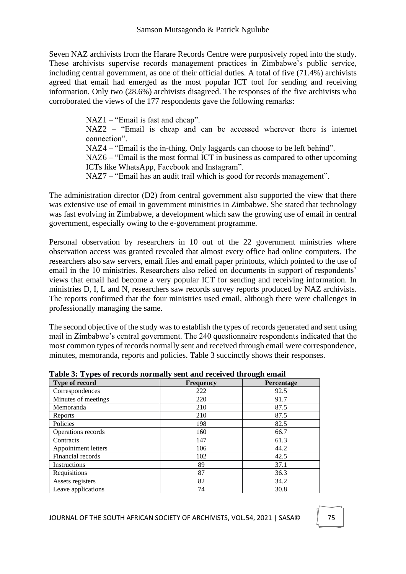Seven NAZ archivists from the Harare Records Centre were purposively roped into the study. These archivists supervise records management practices in Zimbabwe's public service, including central government, as one of their official duties. A total of five (71.4%) archivists agreed that email had emerged as the most popular ICT tool for sending and receiving information. Only two (28.6%) archivists disagreed. The responses of the five archivists who corroborated the views of the 177 respondents gave the following remarks:

> NAZ1 – "Email is fast and cheap". NAZ2 – "Email is cheap and can be accessed wherever there is internet connection". NAZ4 – "Email is the in-thing. Only laggards can choose to be left behind". NAZ6 – "Email is the most formal ICT in business as compared to other upcoming ICTs like WhatsApp, Facebook and Instagram". NAZ7 – "Email has an audit trail which is good for records management".

The administration director (D2) from central government also supported the view that there was extensive use of email in government ministries in Zimbabwe. She stated that technology was fast evolving in Zimbabwe, a development which saw the growing use of email in central government, especially owing to the e-government programme.

Personal observation by researchers in 10 out of the 22 government ministries where observation access was granted revealed that almost every office had online computers. The researchers also saw servers, email files and email paper printouts, which pointed to the use of email in the 10 ministries. Researchers also relied on documents in support of respondents' views that email had become a very popular ICT for sending and receiving information. In ministries D, I, L and N, researchers saw records survey reports produced by NAZ archivists. The reports confirmed that the four ministries used email, although there were challenges in professionally managing the same.

The second objective of the study was to establish the types of records generated and sent using mail in Zimbabwe's central government. The 240 questionnaire respondents indicated that the most common types of records normally sent and received through email were correspondence, minutes, memoranda, reports and policies. Table 3 succinctly shows their responses.

| Type of record      | <b>Frequency</b> | Percentage |
|---------------------|------------------|------------|
| Correspondences     | 222              | 92.5       |
| Minutes of meetings | 220              | 91.7       |
| Memoranda           | 210              | 87.5       |
| Reports             | 210              | 87.5       |
| Policies            | 198              | 82.5       |
| Operations records  | 160              | 66.7       |
| Contracts           | 147              | 61.3       |
| Appointment letters | 106              | 44.2       |
| Financial records   | 102              | 42.5       |
| Instructions        | 89               | 37.1       |
| Requisitions        | 87               | 36.3       |
| Assets registers    | 82               | 34.2       |
| Leave applications  | 74               | 30.8       |

**Table 3: Types of records normally sent and received through email**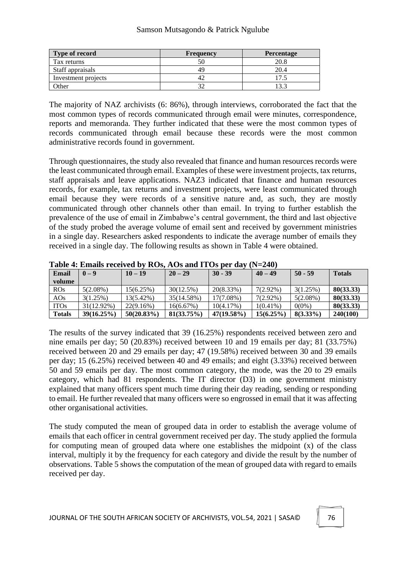#### Samson Mutsagondo & Patrick Ngulube

| <b>Type of record</b> | <b>Frequency</b> | <b>Percentage</b> |
|-----------------------|------------------|-------------------|
| Tax returns           |                  | 20.8              |
| Staff appraisals      | 49               | 20.4              |
| Investment projects   |                  |                   |
| Other                 |                  |                   |

The majority of NAZ archivists (6: 86%), through interviews, corroborated the fact that the most common types of records communicated through email were minutes, correspondence, reports and memoranda. They further indicated that these were the most common types of records communicated through email because these records were the most common administrative records found in government.

Through questionnaires, the study also revealed that finance and human resources records were the least communicated through email. Examples of these were investment projects, tax returns, staff appraisals and leave applications. NAZ3 indicated that finance and human resources records, for example, tax returns and investment projects, were least communicated through email because they were records of a sensitive nature and, as such, they are mostly communicated through other channels other than email. In trying to further establish the prevalence of the use of email in Zimbabwe's central government, the third and last objective of the study probed the average volume of email sent and received by government ministries in a single day. Researchers asked respondents to indicate the average number of emails they received in a single day. The following results as shown in Table 4 were obtained.

| Email<br>volume | $0 - 9$     | $10 - 19$     | $20 - 29$  | $30 - 39$     | $40 - 49$    | $50 - 59$   | <b>Totals</b> |
|-----------------|-------------|---------------|------------|---------------|--------------|-------------|---------------|
| ROS             | $5(2.08\%)$ | 15(6.25%)     | 30(12.5%)  | 20(8.33%)     | $7(2.92\%)$  | 3(1.25%)    | 80(33.33)     |
| AOS             | 3(1.25%)    | 13(5.42%)     | 35(14.58%) | 17(7.08%)     | $7(2.92\%)$  | $5(2.08\%)$ | 80(33.33)     |
| <b>ITOs</b>     | 31(12.92%)  | 22(9.16%)     | 16(6.67%)  | 10(4.17%)     | $1(0.41\%)$  | $0(0\%)$    | 80(33.33)     |
| <b>Totals</b>   | 39(16.25%)  | $50(20.83\%)$ | 81(33.75%) | $47(19.58\%)$ | $15(6.25\%)$ | $8(3.33\%)$ | 240(100)      |

**Table 4: Emails received by ROs, AOs and ITOs per day (N=240)**

The results of the survey indicated that 39 (16.25%) respondents received between zero and nine emails per day; 50 (20.83%) received between 10 and 19 emails per day; 81 (33.75%) received between 20 and 29 emails per day; 47 (19.58%) received between 30 and 39 emails per day; 15 (6.25%) received between 40 and 49 emails; and eight (3.33%) received between 50 and 59 emails per day. The most common category, the mode, was the 20 to 29 emails category, which had 81 respondents. The IT director (D3) in one government ministry explained that many officers spent much time during their day reading, sending or responding to email. He further revealed that many officers were so engrossed in email that it was affecting other organisational activities.

The study computed the mean of grouped data in order to establish the average volume of emails that each officer in central government received per day. The study applied the formula for computing mean of grouped data where one establishes the midpoint (x) of the class interval, multiply it by the frequency for each category and divide the result by the number of observations. Table 5 shows the computation of the mean of grouped data with regard to emails received per day.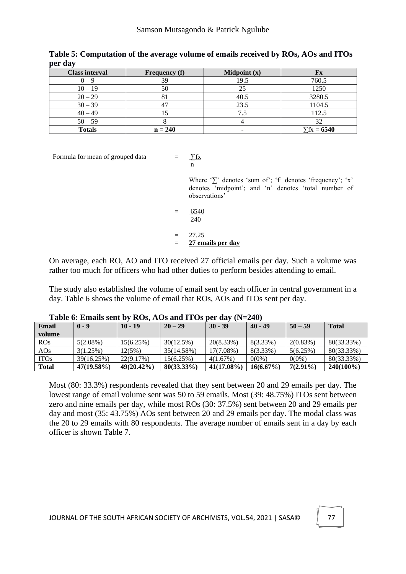| <b>Class interval</b> | <b>Frequency</b> (f) | Midpoint $(x)$ | ${\bf F}{\bf x}$   |
|-----------------------|----------------------|----------------|--------------------|
| $() = 0$              | 39                   | 19.5           | 760.5              |
| $10 - 19$             | 50                   |                | 1250               |
| $20 - 29$             | 81                   | 40.5           | 3280.5             |
| $30 - 39$             | 47                   | 23.5           | 1104.5             |
| $40 - 49$             |                      |                | 112.5              |
| $50 - 59$             |                      |                | 32                 |
| <b>Totals</b>         | $n = 240$            |                | $\Sigma$ fx = 6540 |

**Table 5: Computation of the average volume of emails received by ROs, AOs and ITOs per day**

Formula for mean of grouped data  $=$ 

$$
-\frac{\sum fx}{n}
$$

Where '∑' denotes 'sum of'; 'f' denotes 'frequency'; 'x' denotes 'midpoint'; and 'n' denotes 'total number of observations'

 $= 6540$  $240$ 

$$
\overline{\phantom{0}}
$$

 $= 27.25$ = **27 emails per day**

On average, each RO, AO and ITO received 27 official emails per day. Such a volume was rather too much for officers who had other duties to perform besides attending to email.

The study also established the volume of email sent by each officer in central government in a day. Table 6 shows the volume of email that ROs, AOs and ITOs sent per day.

| <b>Email</b><br>volume | $0 - 9$       | $10 - 19$     | $20 - 29$     | $30 - 39$     | $40 - 49$    | $50 - 59$   | <b>Total</b> |
|------------------------|---------------|---------------|---------------|---------------|--------------|-------------|--------------|
| ROS                    | $5(2.08\%)$   | 15(6.25%)     | 30(12.5%)     | 20(8.33%)     | 8(3.33%)     | 2(0.83%)    | 80(33.33%)   |
| AOS                    | 3(1.25%)      | 12(5%)        | 35(14.58%)    | 17(7.08%)     | $8(3.33\%)$  | 5(6.25%)    | 80(33.33%)   |
| <b>ITOs</b>            | 39(16.25%)    | 22(9.17%)     | 15(6.25%)     | 4(1.67%)      | $0(0\%)$     | $0(0\%)$    | 80(33.33%)   |
| <b>Total</b>           | $47(19.58\%)$ | $49(20.42\%)$ | $80(33.33\%)$ | $41(17.08\%)$ | $16(6.67\%)$ | $7(2.91\%)$ | $240(100\%)$ |

**Table 6: Emails sent by ROs, AOs and ITOs per day (N=240)**

Most (80: 33.3%) respondents revealed that they sent between 20 and 29 emails per day. The lowest range of email volume sent was 50 to 59 emails. Most (39: 48.75%) ITOs sent between zero and nine emails per day, while most ROs (30: 37.5%) sent between 20 and 29 emails per day and most (35: 43.75%) AOs sent between 20 and 29 emails per day. The modal class was the 20 to 29 emails with 80 respondents. The average number of emails sent in a day by each officer is shown Table 7.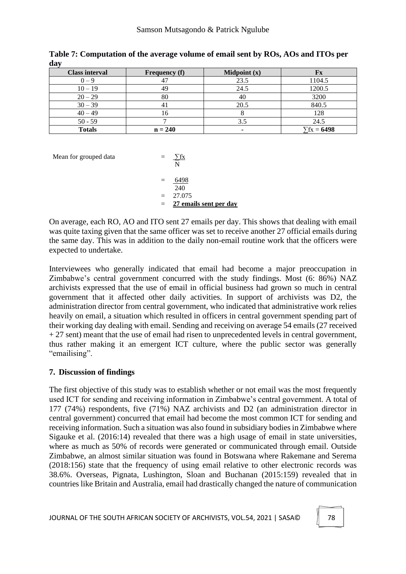| <b>Class interval</b> | <b>Frequency</b> (f) | Midpoint $(x)$ | ${\bf F}{\bf x}$ |
|-----------------------|----------------------|----------------|------------------|
| $0 - 9$               |                      | 23.5           | 1104.5           |
| $10 - 19$             | 49                   | 24.5           | 1200.5           |
| $20 - 29$             | 80                   | 40             | 3200             |
| $30 - 39$             | 41                   | 20.5           | 840.5            |
| $40 - 49$             | 16                   |                | 128              |
| $50 - 59$             |                      | 3.5            | 24.5             |
| <b>Totals</b>         | $n = 240$            |                | $\sum$ fx = 6498 |

**Table 7: Computation of the average volume of email sent by ROs, AOs and ITOs per day**

Mean for grouped data

| $=$ | 6498                   |
|-----|------------------------|
|     | 240                    |
| $=$ | 27.075                 |
| $=$ | 27 emails sent per day |
|     |                        |

 $\frac{\sum fx}{N}$ 

On average, each RO, AO and ITO sent 27 emails per day. This shows that dealing with email was quite taxing given that the same officer was set to receive another 27 official emails during the same day. This was in addition to the daily non-email routine work that the officers were expected to undertake.

Interviewees who generally indicated that email had become a major preoccupation in Zimbabwe's central government concurred with the study findings. Most (6: 86%) NAZ archivists expressed that the use of email in official business had grown so much in central government that it affected other daily activities. In support of archivists was D2, the administration director from central government, who indicated that administrative work relies heavily on email, a situation which resulted in officers in central government spending part of their working day dealing with email. Sending and receiving on average 54 emails (27 received  $+ 27$  sent) meant that the use of email had risen to unprecedented levels in central government, thus rather making it an emergent ICT culture, where the public sector was generally "emailising".

# **7. Discussion of findings**

The first objective of this study was to establish whether or not email was the most frequently used ICT for sending and receiving information in Zimbabwe's central government. A total of 177 (74%) respondents, five (71%) NAZ archivists and D2 (an administration director in central government) concurred that email had become the most common ICT for sending and receiving information. Such a situation was also found in subsidiary bodies in Zimbabwe where Sigauke et al. (2016:14) revealed that there was a high usage of email in state universities, where as much as 50% of records were generated or communicated through email. Outside Zimbabwe, an almost similar situation was found in Botswana where Rakemane and Serema (2018:156) state that the frequency of using email relative to other electronic records was 38.6%. Overseas, Pignata, Lushington, Sloan and Buchanan (2015:159) revealed that in countries like Britain and Australia, email had drastically changed the nature of communication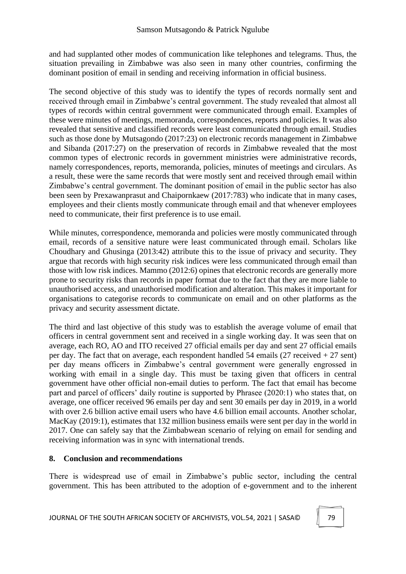and had supplanted other modes of communication like telephones and telegrams. Thus, the situation prevailing in Zimbabwe was also seen in many other countries, confirming the dominant position of email in sending and receiving information in official business.

The second objective of this study was to identify the types of records normally sent and received through email in Zimbabwe's central government. The study revealed that almost all types of records within central government were communicated through email. Examples of these were minutes of meetings, memoranda, correspondences, reports and policies. It was also revealed that sensitive and classified records were least communicated through email. Studies such as those done by Mutsagondo (2017:23) on electronic records management in Zimbabwe and Sibanda (2017:27) on the preservation of records in Zimbabwe revealed that the most common types of electronic records in government ministries were administrative records, namely correspondences, reports, memoranda, policies, minutes of meetings and circulars. As a result, these were the same records that were mostly sent and received through email within Zimbabwe's central government. The dominant position of email in the public sector has also been seen by Prexawanprasut and Chaipornkaew (2017:783) who indicate that in many cases, employees and their clients mostly communicate through email and that whenever employees need to communicate, their first preference is to use email.

While minutes, correspondence, memoranda and policies were mostly communicated through email, records of a sensitive nature were least communicated through email. Scholars like Choudhary and Ghusinga (2013:42) attribute this to the issue of privacy and security. They argue that records with high security risk indices were less communicated through email than those with low risk indices. Mammo (2012:6) opines that electronic records are generally more prone to security risks than records in paper format due to the fact that they are more liable to unauthorised access, and unauthorised modification and alteration. This makes it important for organisations to categorise records to communicate on email and on other platforms as the privacy and security assessment dictate.

The third and last objective of this study was to establish the average volume of email that officers in central government sent and received in a single working day. It was seen that on average, each RO, AO and ITO received 27 official emails per day and sent 27 official emails per day. The fact that on average, each respondent handled 54 emails (27 received  $+27$  sent) per day means officers in Zimbabwe's central government were generally engrossed in working with email in a single day. This must be taxing given that officers in central government have other official non-email duties to perform. The fact that email has become part and parcel of officers' daily routine is supported by Phrasee (2020:1) who states that, on average, one officer received 96 emails per day and sent 30 emails per day in 2019, in a world with over 2.6 billion active email users who have 4.6 billion email accounts. Another scholar, MacKay (2019:1), estimates that 132 million business emails were sent per day in the world in 2017. One can safely say that the Zimbabwean scenario of relying on email for sending and receiving information was in sync with international trends.

### **8. Conclusion and recommendations**

There is widespread use of email in Zimbabwe's public sector, including the central government. This has been attributed to the adoption of e-government and to the inherent

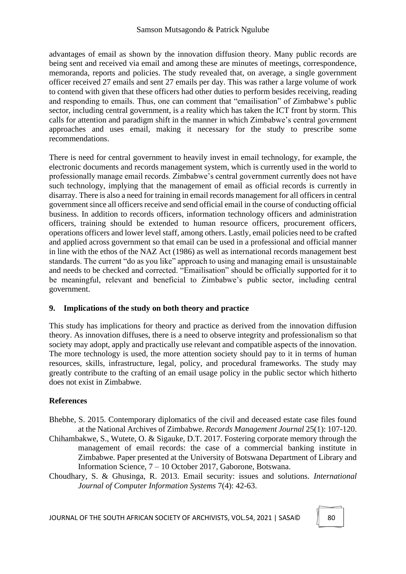advantages of email as shown by the innovation diffusion theory. Many public records are being sent and received via email and among these are minutes of meetings, correspondence, memoranda, reports and policies. The study revealed that, on average, a single government officer received 27 emails and sent 27 emails per day. This was rather a large volume of work to contend with given that these officers had other duties to perform besides receiving, reading and responding to emails. Thus, one can comment that "emailisation" of Zimbabwe's public sector, including central government, is a reality which has taken the ICT front by storm. This calls for attention and paradigm shift in the manner in which Zimbabwe's central government approaches and uses email, making it necessary for the study to prescribe some recommendations.

There is need for central government to heavily invest in email technology, for example, the electronic documents and records management system, which is currently used in the world to professionally manage email records. Zimbabwe's central government currently does not have such technology, implying that the management of email as official records is currently in disarray. There is also a need for training in email records management for all officers in central government since all officers receive and send official email in the course of conducting official business. In addition to records officers, information technology officers and administration officers, training should be extended to human resource officers, procurement officers, operations officers and lower level staff, among others. Lastly, email policies need to be crafted and applied across government so that email can be used in a professional and official manner in line with the ethos of the NAZ Act (1986) as well as international records management best standards. The current "do as you like" approach to using and managing email is unsustainable and needs to be checked and corrected. "Emailisation" should be officially supported for it to be meaningful, relevant and beneficial to Zimbabwe's public sector, including central government.

# **9. Implications of the study on both theory and practice**

This study has implications for theory and practice as derived from the innovation diffusion theory. As innovation diffuses, there is a need to observe integrity and professionalism so that society may adopt, apply and practically use relevant and compatible aspects of the innovation. The more technology is used, the more attention society should pay to it in terms of human resources, skills, infrastructure, legal, policy, and procedural frameworks. The study may greatly contribute to the crafting of an email usage policy in the public sector which hitherto does not exist in Zimbabwe.

# **References**

- Bhebhe, S. 2015. Contemporary diplomatics of the civil and deceased estate case files found at the National Archives of Zimbabwe. *Records Management Journal* 25(1): 107-120.
- Chihambakwe, S., Wutete, O. & Sigauke, D.T. 2017. Fostering corporate memory through the management of email records: the case of a commercial banking institute in Zimbabwe. Paper presented at the University of Botswana Department of Library and Information Science, 7 – 10 October 2017, Gaborone, Botswana.
- Choudhary, S. & Ghusinga, R. 2013. Email security: issues and solutions. *International Journal of Computer Information Systems* 7(4): 42-63.

JOURNAL OF THE SOUTH AFRICAN SOCIETY OF ARCHIVISTS, VOL.54, 2021 | SASA© | 80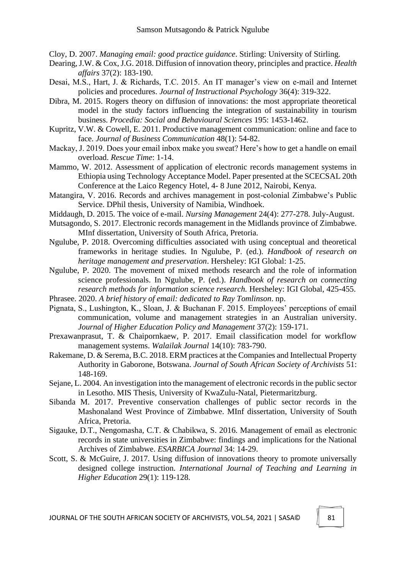Cloy, D. 2007. *Managing email: good practice guidance*. Stirling: University of Stirling.

- Dearing, J.W. & Cox, J.G. 2018. Diffusion of innovation theory, principles and practice. *Health affairs* 37(2): 183-190.
- Desai, M.S., Hart, J. & Richards, T.C. 2015. An IT manager's view on e-mail and Internet policies and procedures. *Journal of Instructional Psychology* 36(4): 319-322.
- Dibra, M. 2015. Rogers theory on diffusion of innovations: the most appropriate theoretical model in the study factors influencing the integration of sustainability in tourism business. *Procedia: Social and Behavioural Sciences* 195: 1453-1462.
- Kupritz, V.W. & Cowell, E. 2011. Productive management communication: online and face to face. *Journal of Business Communication* 48(1): 54-82.
- Mackay, J. 2019. Does your email inbox make you sweat? Here's how to get a handle on email overload. *Rescue Time*: 1-14.
- Mammo, W. 2012. Assessment of application of electronic records management systems in Ethiopia using Technology Acceptance Model. Paper presented at the SCECSAL 20th Conference at the Laico Regency Hotel, 4- 8 June 2012, Nairobi, Kenya.
- Matangira, V. 2016. Records and archives management in post-colonial Zimbabwe's Public Service. DPhil thesis, University of Namibia, Windhoek.
- Middaugh, D. 2015. The voice of e-mail. *Nursing Management* 24(4): 277-278. July-August.
- Mutsagondo, S. 2017. Electronic records management in the Midlands province of Zimbabwe. MInf dissertation, University of South Africa, Pretoria.
- Ngulube, P. 2018. Overcoming difficulties associated with using conceptual and theoretical frameworks in heritage studies. In Ngulube, P. (ed.). *Handbook of research on heritage management and preservation*. Hersheley: IGI Global: 1-25.
- Ngulube, P. 2020. The movement of mixed methods research and the role of information science professionals. In Ngulube, P. (ed.). *Handbook of research on connecting research methods for information science research.* Hersheley: IGI Global, 425-455.
- Phrasee. 2020. *A brief history of email: dedicated to Ray Tomlinson*. np.
- Pignata, S., Lushington, K., Sloan, J. & Buchanan F. 2015. Employees' perceptions of email communication, volume and management strategies in an Australian university. *Journal of Higher Education Policy and Management* 37(2): 159-171.
- Prexawanprasut, T. & Chaipornkaew, P. 2017. Email classification model for workflow management systems. *Walailak Journal* 14(10): 783-790.
- Rakemane, D. & Serema, B.C. 2018. ERM practices at the Companies and Intellectual Property Authority in Gaborone, Botswana. *Journal of South African Society of Archivists* 51: 148-169.
- Sejane, L. 2004. An investigation into the management of electronic records in the public sector in Lesotho. MIS Thesis, University of KwaZulu-Natal, Pietermaritzburg.
- Sibanda M. 2017. Preventive conservation challenges of public sector records in the Mashonaland West Province of Zimbabwe. MInf dissertation, University of South Africa, Pretoria.
- Sigauke, D.T., Nengomasha, C.T. & Chabikwa, S. 2016. Management of email as electronic records in state universities in Zimbabwe: findings and implications for the National Archives of Zimbabwe. *ESARBICA Journal* 34: 14-29.
- Scott, S. & McGuire, J. 2017. Using diffusion of innovations theory to promote universally designed college instruction. *International Journal of Teaching and Learning in Higher Education* 29(1): 119-128.